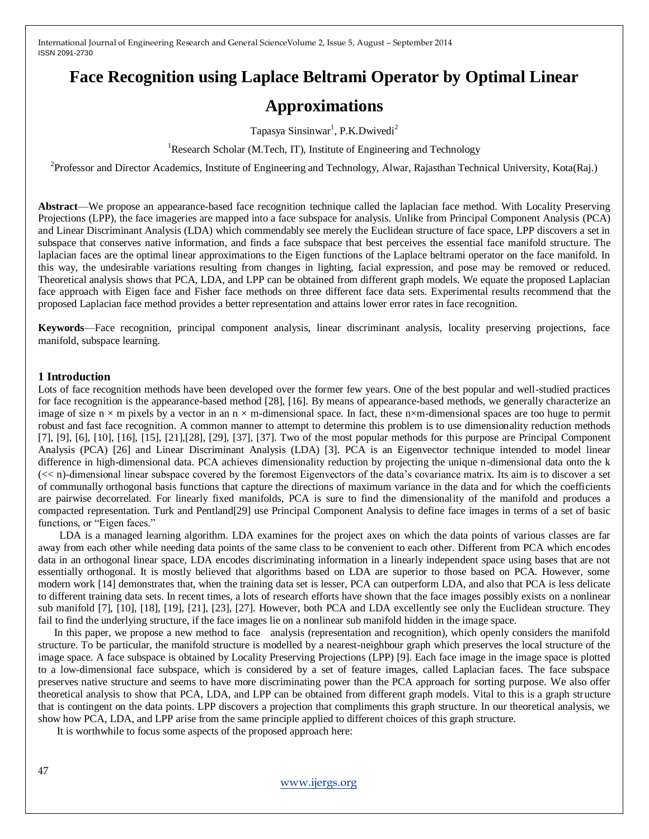# **Face Recognition using Laplace Beltrami Operator by Optimal Linear**

# **Approximations**

Tapasya Sinsinwar<sup>1</sup>, P.K.Dwivedi<sup>2</sup>

<sup>1</sup>Research Scholar (M.Tech, IT), Institute of Engineering and Technology

<sup>2</sup>Professor and Director Academics, Institute of Engineering and Technology, Alwar, Rajasthan Technical University, Kota(Raj.)

**Abstract**—We propose an appearance-based face recognition technique called the laplacian face method. With Locality Preserving Projections (LPP), the face imageries are mapped into a face subspace for analysis. Unlike from Principal Component Analysis (PCA) and Linear Discriminant Analysis (LDA) which commendably see merely the Euclidean structure of face space, LPP discovers a set in subspace that conserves native information, and finds a face subspace that best perceives the essential face manifold structure. The laplacian faces are the optimal linear approximations to the Eigen functions of the Laplace beltrami operator on the face manifold. In this way, the undesirable variations resulting from changes in lighting, facial expression, and pose may be removed or reduced. Theoretical analysis shows that PCA, LDA, and LPP can be obtained from different graph models. We equate the proposed Laplacian face approach with Eigen face and Fisher face methods on three different face data sets. Experimental results recommend that the proposed Laplacian face method provides a better representation and attains lower error rates in face recognition.

**Keywords**—Face recognition, principal component analysis, linear discriminant analysis, locality preserving projections, face manifold, subspace learning.

#### **1 Introduction**

Lots of face recognition methods have been developed over the former few years. One of the best popular and well-studied practices for face recognition is the appearance-based method [28], [16]. By means of appearance-based methods, we generally characterize an image of size  $n \times m$  pixels by a vector in an  $n \times m$ -dimensional space. In fact, these  $n \times m$ -dimensional spaces are too huge to permit robust and fast face recognition. A common manner to attempt to determine this problem is to use dimensionality reduction methods [7], [9], [6], [10], [16], [15], [21],[28], [29], [37], [37]. Two of the most popular methods for this purpose are Principal Component Analysis (PCA) [26] and Linear Discriminant Analysis (LDA) [3]. PCA is an Eigenvector technique intended to model linear difference in high-dimensional data. PCA achieves dimensionality reduction by projecting the unique n-dimensional data onto the k (<< n)-dimensional linear subspace covered by the foremost Eigenvectors of the data's covariance matrix. Its aim is to discover a set of communally orthogonal basis functions that capture the directions of maximum variance in the data and for which the coefficients are pairwise decorrelated. For linearly fixed manifolds, PCA is sure to find the dimensionality of the manifold and produces a compacted representation. Turk and Pentland[29] use Principal Component Analysis to define face images in terms of a set of basic functions, or "Eigen faces."

 LDA is a managed learning algorithm. LDA examines for the project axes on which the data points of various classes are far away from each other while needing data points of the same class to be convenient to each other. Different from PCA which encodes data in an orthogonal linear space, LDA encodes discriminating information in a linearly independent space using bases that are not essentially orthogonal. It is mostly believed that algorithms based on LDA are superior to those based on PCA. However, some modern work [14] demonstrates that, when the training data set is lesser, PCA can outperform LDA, and also that PCA is less delicate to different training data sets. In recent times, a lots of research efforts have shown that the face images possibly exists on a nonlinear sub manifold [7], [10], [18], [19], [21], [23], [27]. However, both PCA and LDA excellently see only the Euclidean structure. They fail to find the underlying structure, if the face images lie on a nonlinear sub manifold hidden in the image space.

 In this paper, we propose a new method to face analysis (representation and recognition), which openly considers the manifold structure. To be particular, the manifold structure is modelled by a nearest-neighbour graph which preserves the local structure of the image space. A face subspace is obtained by Locality Preserving Projections (LPP) [9]. Each face image in the image space is plotted to a low-dimensional face subspace, which is considered by a set of feature images, called Laplacian faces. The face subspace preserves native structure and seems to have more discriminating power than the PCA approach for sorting purpose. We also offer theoretical analysis to show that PCA, LDA, and LPP can be obtained from different graph models. Vital to this is a graph structure that is contingent on the data points. LPP discovers a projection that compliments this graph structure. In our theoretical analysis, we show how PCA, LDA, and LPP arise from the same principle applied to different choices of this graph structure.

It is worthwhile to focus some aspects of the proposed approach here: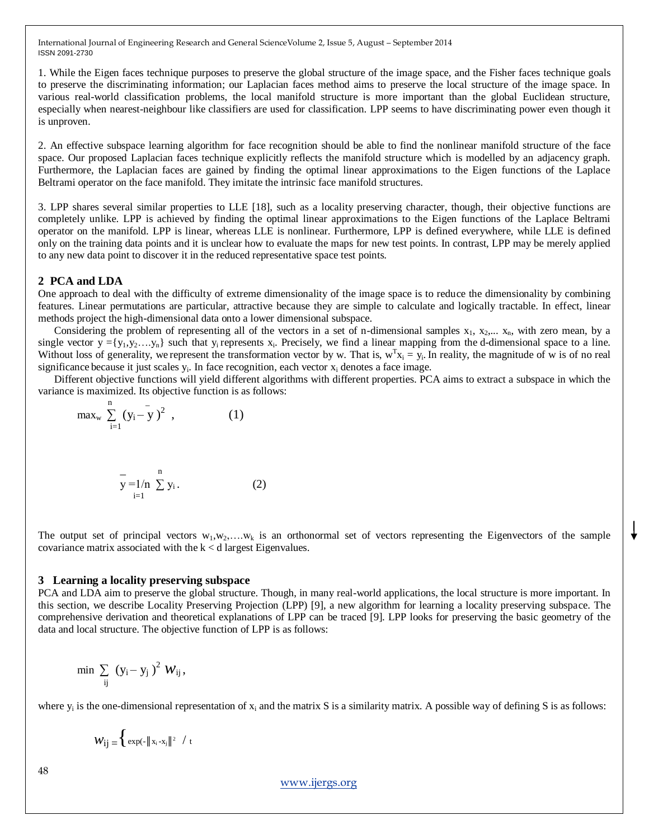1. While the Eigen faces technique purposes to preserve the global structure of the image space, and the Fisher faces technique goals to preserve the discriminating information; our Laplacian faces method aims to preserve the local structure of the image space. In various real-world classification problems, the local manifold structure is more important than the global Euclidean structure, especially when nearest-neighbour like classifiers are used for classification. LPP seems to have discriminating power even though it is unproven.

2. An effective subspace learning algorithm for face recognition should be able to find the nonlinear manifold structure of the face space. Our proposed Laplacian faces technique explicitly reflects the manifold structure which is modelled by an adjacency graph. Furthermore, the Laplacian faces are gained by finding the optimal linear approximations to the Eigen functions of the Laplace Beltrami operator on the face manifold. They imitate the intrinsic face manifold structures.

3. LPP shares several similar properties to LLE [18], such as a locality preserving character, though, their objective functions are completely unlike. LPP is achieved by finding the optimal linear approximations to the Eigen functions of the Laplace Beltrami operator on the manifold. LPP is linear, whereas LLE is nonlinear. Furthermore, LPP is defined everywhere, while LLE is defined only on the training data points and it is unclear how to evaluate the maps for new test points. In contrast, LPP may be merely applied to any new data point to discover it in the reduced representative space test points.

#### **2 PCA and LDA**

One approach to deal with the difficulty of extreme dimensionality of the image space is to reduce the dimensionality by combining features. Linear permutations are particular, attractive because they are simple to calculate and logically tractable. In effect, linear methods project the high-dimensional data onto a lower dimensional subspace.

Considering the problem of representing all of the vectors in a set of n-dimensional samples  $x_1, x_2, \ldots, x_n$ , with zero mean, by a single vector  $y = \{y_1, y_2, \ldots, y_n\}$  such that  $y_i$  represents  $x_i$ . Precisely, we find a linear mapping from the d-dimensional space to a line. Without loss of generality, we represent the transformation vector by w. That is,  $w^T x_i = y_i$ . In reality, the magnitude of w is of no real significance because it just scales  $y_i$ . In face recognition, each vector  $x_i$  denotes a face image.

 Different objective functions will yield different algorithms with different properties. PCA aims to extract a subspace in which the variance is maximized. Its objective function is as follows:

$$
\max_{w} \sum_{i=1}^{n} (y_i - y_i)^2 , \qquad (1)
$$

$$
y = 1/n
$$
  $\sum_{i=1}^{n} y_i$ . (2)

The output set of principal vectors  $w_1, w_2, \ldots, w_k$  is an orthonormal set of vectors representing the Eigenvectors of the sample covariance matrix associated with the  $k < d$  largest Eigenvalues.

#### **3 Learning a locality preserving subspace**

PCA and LDA aim to preserve the global structure. Though, in many real-world applications, the local structure is more important. In this section, we describe Locality Preserving Projection (LPP) [9], a new algorithm for learning a locality preserving subspace. The comprehensive derivation and theoretical explanations of LPP can be traced [9]. LPP looks for preserving the basic geometry of the data and local structure. The objective function of LPP is as follows:

$$
\min \ \sum_{ij} \ (y_i - y_j \ )^2 \ W_{ij} \, ,
$$

where  $y_i$  is the one-dimensional representation of  $x_i$  and the matrix S is a similarity matrix. A possible way of defining S is as follows:

$$
\mathcal{W}_{ij} \equiv \Big\{\exp(-\|\,x_i-x_j\,\|^2 \ / \ t
$$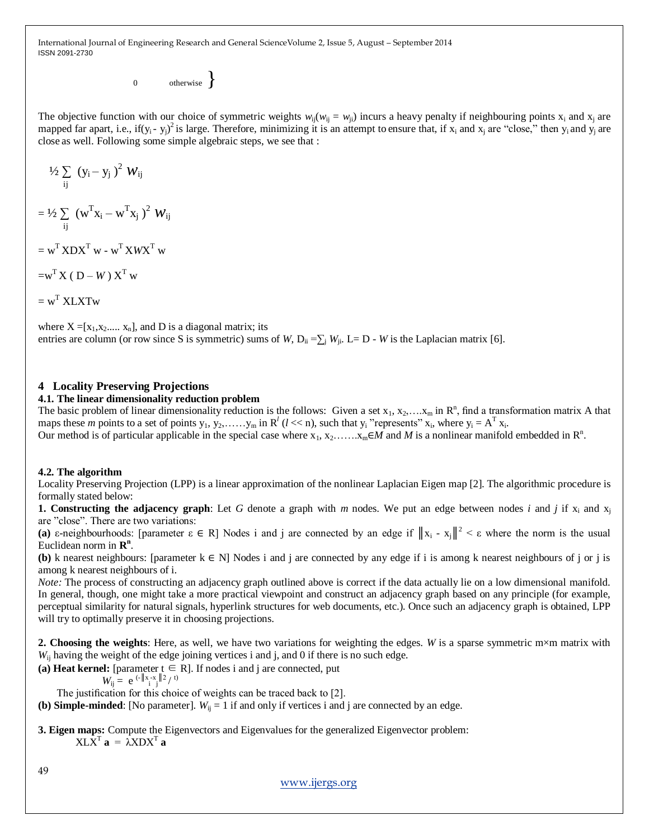0 otherwise  $\}$ 

The objective function with our choice of symmetric weights  $w_{ij}(w_{ij} = w_{ji})$  incurs a heavy penalty if neighbouring points  $x_i$  and  $x_j$  are mapped far apart, i.e., if(y<sub>i</sub>-y<sub>j</sub>)<sup>2</sup> is large. Therefore, minimizing it is an attempt to ensure that, if x<sub>i</sub> and x<sub>j</sub> are "close," then y<sub>i</sub> and y<sub>j</sub> are close as well. Following some simple algebraic steps, we see that :

$$
\frac{1}{2} \sum_{ij} (y_i - y_j)^2 W_{ij}
$$

 $=$  <sup>1</sup>/<sub>2</sub>  $\sum$  (w<sup>T</sup>x<sub>i</sub> – w<sup>T</sup>x<sub>j</sub>)<sup>2</sup>  $W_{ij}$ ij

 $=$   $w^T$ **XDX<sup>T</sup>** w -  $w^T$ **XWX<sup>T</sup>** w

$$
= w^{\rm T} \, X \, \left( \, D - W \, \right) \, X^{\rm T} \, w
$$

 $=$   $w^T$  XLXTw

where  $X = [x_1, x_2, ..., x_n]$ , and D is a diagonal matrix; its entries are column (or row since S is symmetric) sums of *W*, D<sub>ii</sub> = $\sum_{i}$  *W*<sub>ii</sub>. L= D - *W* is the Laplacian matrix [6].

## **4 Locality Preserving Projections**

## **4.1. The linear dimensionality reduction problem**

The basic problem of linear dimensionality reduction is the follows: Given a set  $x_1, x_2, \ldots, x_m$  in  $\mathbb{R}^n$ , find a transformation matrix A that maps these *m* points to a set of points  $y_1, y_2, \ldots, y_m$  in  $R^l$  ( $l \ll n$ ), such that  $y_i$  "represents"  $x_i$ , where  $y_i = A^T x_i$ .

# Our method is of particular applicable in the special case where  $x_1, x_2, \ldots, x_m \in M$  and M is a nonlinear manifold embedded in  $\mathbb{R}^n$ .

## **4.2. The algorithm**

Locality Preserving Projection (LPP) is a linear approximation of the nonlinear Laplacian Eigen map [2]. The algorithmic procedure is formally stated below:

**1. Constructing the adjacency graph**: Let G denote a graph with *m* nodes. We put an edge between nodes *i* and *j* if  $x_i$  and  $x_i$ are "close". There are two variations:

(a)  $\varepsilon$ -neighbourhoods: [parameter  $\varepsilon \in R$ ] Nodes i and j are connected by an edge if  $||x_i - x_j||^2 < \varepsilon$  where the norm is the usual Euclidean norm in  $\mathbb{R}^n$ .

**(b)** k nearest neighbours: [parameter  $k \in N$ ] Nodes i and j are connected by any edge if i is among k nearest neighbours of j or j is among k nearest neighbours of i.

*Note:* The process of constructing an adjacency graph outlined above is correct if the data actually lie on a low dimensional manifold. In general, though, one might take a more practical viewpoint and construct an adjacency graph based on any principle (for example, perceptual similarity for natural signals, hyperlink structures for web documents, etc.). Once such an adjacency graph is obtained, LPP will try to optimally preserve it in choosing projections.

**2. Choosing the weights**: Here, as well, we have two variations for weighting the edges. *W* is a sparse symmetric m×m matrix with *W*<sub>ij</sub> having the weight of the edge joining vertices i and j, and 0 if there is no such edge.

(a) **Heat kernel:** [parameter  $t \in R$ ]. If nodes i and j are connected, put

$$
W_{ij} = e^{(-\|x - x_j\|^2 / t)}
$$

The justification for this choice of weights can be traced back to [2].

**(b) Simple-minded**: [No parameter].  $W_{ii} = 1$  if and only if vertices i and j are connected by an edge.

**3. Eigen maps:** Compute the Eigenvectors and Eigenvalues for the generalized Eigenvector problem:  $X L X^T$ **a** =  $\lambda X D X^T$ **a**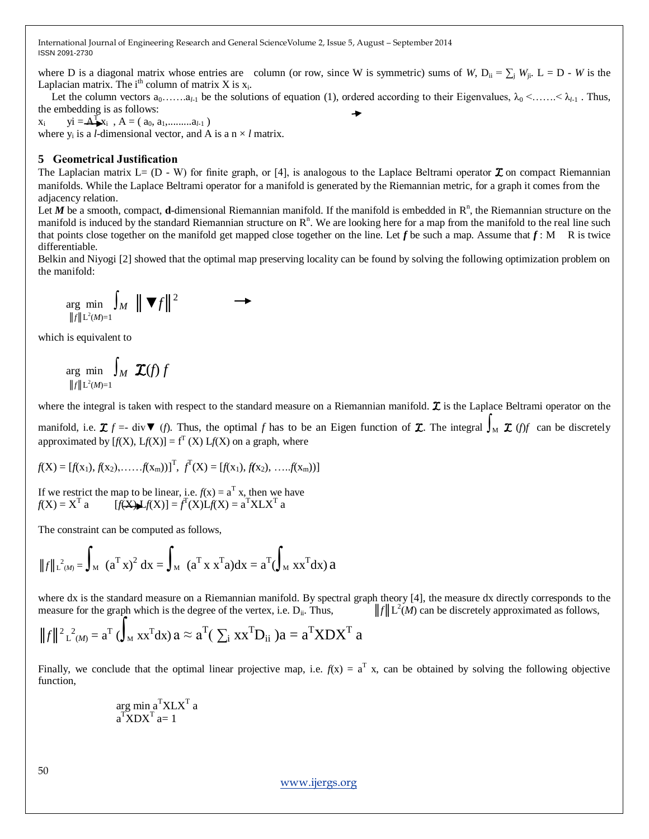where D is a diagonal matrix whose entries are column (or row, since W is symmetric) sums of *W*,  $D_{ii} = \sum_{j} W_{ji}$ .  $L = D - W$  is the Laplacian matrix. The  $i<sup>th</sup>$  column of matrix X is  $x_i$ .

Let the column vectors  $a_0, \ldots, a_{l-1}$  be the solutions of equation (1), ordered according to their Eigenvalues,  $\lambda_0 \leq \ldots \leq \lambda_{l-1}$ . Thus, the embedding is as follows:

xi  $yi = A_1^Tx_i$ ,  $A = (a_0, a_1, \ldots, a_{l-1})$ where  $y_i$  is a *l*-dimensional vector, and A is a  $n \times l$  matrix.

## **5 Geometrical Justification**

The Laplacian matrix  $L = (D - W)$  for finite graph, or [4], is analogous to the Laplace Beltrami operator  $\mathcal{I}$  on compact Riemannian manifolds. While the Laplace Beltrami operator for a manifold is generated by the Riemannian metric, for a graph it comes from the adjacency relation.

Let  $M$  be a smooth, compact, **d**-dimensional Riemannian manifold. If the manifold is embedded in  $\mathbb{R}^n$ , the Riemannian structure on the manifold is induced by the standard Riemannian structure on  $\mathbb{R}^n$ . We are looking here for a map from the manifold to the real line such that points close together on the manifold get mapped close together on the line. Let  $f$  be such a map. Assume that  $f: M \times R$  is twice differentiable.

Belkin and Niyogi [2] showed that the optimal map preserving locality can be found by solving the following optimization problem on the manifold:

$$
\underset{\|f\|_{L^2(M)=1}}{\arg \min} \int_M \| \nabla f \|^{2} \longrightarrow
$$

which is equivalent to

$$
\underset{\|f\| \mathcal{L}^2(M)=1}{\arg \min} \int_M \mathbf{\mathcal{I}}(f) f
$$

where the integral is taken with respect to the standard measure on a Riemannian manifold.  $\mathcal{I}$  is the Laplace Beltrami operator on the

manifold, i.e.  $\mathcal{I}$  *f* =- div▼ (*f*). Thus, the optimal *f* has to be an Eigen function of  $\mathcal{I}$ . The integral  $\int_M \mathcal{I}$  (*f*)*f* can be discretely approximated by  $[f(X), Lf(X)] = f<sup>T</sup>(X) Lf(X)$  on a graph, where

$$
f(X) = [f(x_1), f(x_2), \ldots, f(x_m)]^T, f^T(X) = [f(x_1), f(x_2), \ldots, f(x_m))]
$$

If we restrict the map to be linear, i.e.  $f(x) = a^T x$ , then we have  $f(X) = X^{\mathrm{T}}$  a  $[f(X)] = f^{\mathrm{T}}(X)Lf(X) = a^{\mathrm{T}}X L X^{\mathrm{T}}$  a

The constraint can be computed as follows,

$$
||f||_{L^{2}(M)}^{2} = \int_{M} (a^{T} x)^{2} dx = \int_{M} (a^{T} x x^{T} a) dx = a^{T} (\int_{M} x x^{T} dx) a
$$

where dx is the standard measure on a Riemannian manifold. By spectral graph theory [4], the measure dx directly corresponds to the measure for the graph which is the degree of the vertex, i.e. D<sub>ii</sub>. Thus,  $||f|| \mathcal{L}^2(M)$  can be discretely approximated as follows,

$$
||f||^2 \mathbf{L}^2(\mathbf{M}) = \mathbf{a}^{\mathrm{T}} \left( \int_{\mathbf{M}} \mathbf{x} \mathbf{x}^{\mathrm{T}} d\mathbf{x} \right) \mathbf{a} \approx \mathbf{a}^{\mathrm{T}} \left( \sum_{i} \mathbf{x} \mathbf{x}^{\mathrm{T}} \mathbf{D}_{ii} \right) \mathbf{a} = \mathbf{a}^{\mathrm{T}} \mathbf{X} \mathbf{D} \mathbf{X}^{\mathrm{T}} \mathbf{a}
$$

Finally, we conclude that the optimal linear projective map, i.e.  $f(x) = a^T x$ , can be obtained by solving the following objective function,

$$
\mathop{\arg\min}\limits_{\mathbf{a}^{\mathrm{T}}\mathbf{X}\mathbf{D}\mathbf{X}^{\mathrm{T}}}\mathbf{a}^{\mathrm{T}}\mathbf{X}\mathbf{L}\mathbf{X}^{\mathrm{T}}\mathbf{a}
$$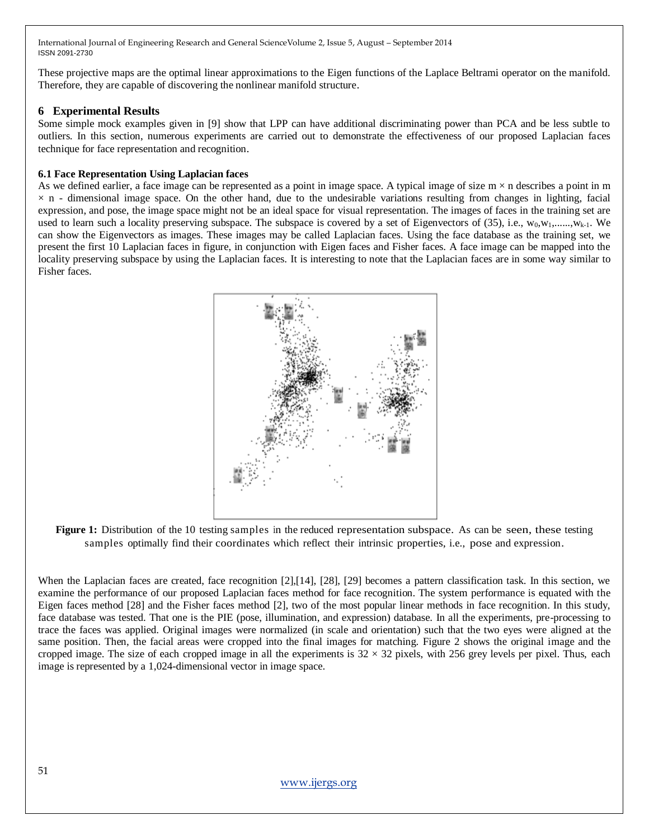These projective maps are the optimal linear approximations to the Eigen functions of the Laplace Beltrami operator on the manifold. Therefore, they are capable of discovering the nonlinear manifold structure.

#### **6 Experimental Results**

Some simple mock examples given in [9] show that LPP can have additional discriminating power than PCA and be less subtle to outliers. In this section, numerous experiments are carried out to demonstrate the effectiveness of our proposed Laplacian faces technique for face representation and recognition.

#### **6.1 Face Representation Using Laplacian faces**

As we defined earlier, a face image can be represented as a point in image space. A typical image of size  $m \times n$  describes a point in m  $\times$  n - dimensional image space. On the other hand, due to the undesirable variations resulting from changes in lighting, facial expression, and pose, the image space might not be an ideal space for visual representation. The images of faces in the training set are used to learn such a locality preserving subspace. The subspace is covered by a set of Eigenvectors of (35), i.e.,  $w_0, w_1, \ldots, w_{k-1}$ . We can show the Eigenvectors as images. These images may be called Laplacian faces. Using the face database as the training set, we present the first 10 Laplacian faces in figure, in conjunction with Eigen faces and Fisher faces. A face image can be mapped into the locality preserving subspace by using the Laplacian faces. It is interesting to note that the Laplacian faces are in some way similar to Fisher faces.



Figure 1: Distribution of the 10 testing samples in the reduced representation subspace. As can be seen, these testing samples optimally find their coordinates which reflect their intrinsic properties, i.e., pose and expression.

When the Laplacian faces are created, face recognition [2],[14], [28], [29] becomes a pattern classification task. In this section, we examine the performance of our proposed Laplacian faces method for face recognition. The system performance is equated with the Eigen faces method [28] and the Fisher faces method [2], two of the most popular linear methods in face recognition. In this study, face database was tested. That one is the PIE (pose, illumination, and expression) database. In all the experiments, pre-processing to trace the faces was applied. Original images were normalized (in scale and orientation) such that the two eyes were aligned at the same position. Then, the facial areas were cropped into the final images for matching. Figure 2 shows the original image and the cropped image. The size of each cropped image in all the experiments is  $32 \times 32$  pixels, with 256 grey levels per pixel. Thus, each image is represented by a 1,024-dimensional vector in image space.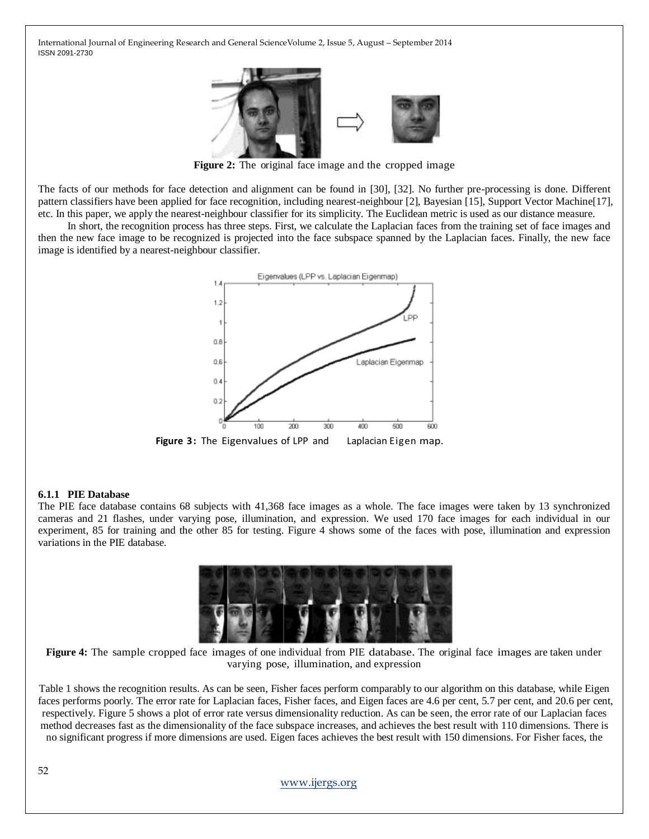

**Figure 2:** The original face image and the cropped image

The facts of our methods for face detection and alignment can be found in [30], [32]. No further pre-processing is done. Different pattern classifiers have been applied for face recognition, including nearest-neighbour [2], Bayesian [15], Support Vector Machine[17], etc. In this paper, we apply the nearest-neighbour classifier for its simplicity. The Euclidean metric is used as our distance measure.

 In short, the recognition process has three steps. First, we calculate the Laplacian faces from the training set of face images and then the new face image to be recognized is projected into the face subspace spanned by the Laplacian faces. Finally, the new face image is identified by a nearest-neighbour classifier.



## **6.1.1 PIE Database**

The PIE face database contains 68 subjects with 41,368 face images as a whole. The face images were taken by 13 synchronized cameras and 21 flashes, under varying pose, illumination, and expression. We used 170 face images for each individual in our experiment, 85 for training and the other 85 for testing. Figure 4 shows some of the faces with pose, illumination and expression variations in the PIE database.



**Figure 4:** The sample cropped face images of one individual from PIE database. The original face images are taken under varying pose, illumination, and expression

Table 1 shows the recognition results. As can be seen, Fisher faces perform comparably to our algorithm on this database, while Eigen faces performs poorly. The error rate for Laplacian faces, Fisher faces, and Eigen faces are 4.6 per cent, 5.7 per cent, and 20.6 per cent, respectively. Figure 5 shows a plot of error rate versus dimensionality reduction. As can be seen, the error rate of our Laplacian faces method decreases fast as the dimensionality of the face subspace increases, and achieves the best result with 110 dimensions. There is no significant progress if more dimensions are used. Eigen faces achieves the best result with 150 dimensions. For Fisher faces, the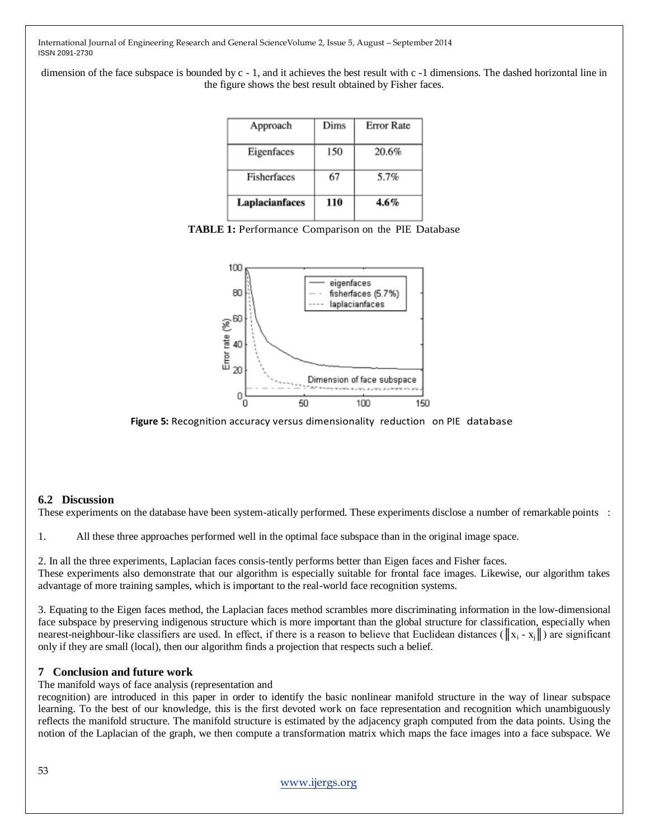dimension of the face subspace is bounded by c - 1, and it achieves the best result with c -1 dimensions. The dashed horizontal line in the figure shows the best result obtained by Fisher faces.

| Approach       | Dims | <b>Error Rate</b> |
|----------------|------|-------------------|
| Eigenfaces     | 150  | 20.6%             |
| Fisherfaces    | 67   | 5.7%              |
| Laplacianfaces | 110  | 4.6%              |





**Figure 5:** Recognition accuracy versus dimensionality reduction on PIE database

## **6.2 Discussion**

These experiments on the database have been system-atically performed. These experiments disclose a number of remarkable points :

1. All these three approaches performed well in the optimal face subspace than in the original image space.

2. In all the three experiments, Laplacian faces consis-tently performs better than Eigen faces and Fisher faces. These experiments also demonstrate that our algorithm is especially suitable for frontal face images. Likewise, our algorithm takes advantage of more training samples, which is important to the real-world face recognition systems.

3. Equating to the Eigen faces method, the Laplacian faces method scrambles more discriminating information in the low-dimensional face subspace by preserving indigenous structure which is more important than the global structure for classification, especially when nearest-neighbour-like classifiers are used. In effect, if there is a reason to believe that Euclidean distances ( $||x_i - x_j||$ ) are significant only if they are small (local), then our algorithm finds a projection that respects such a belief.

## **7 Conclusion and future work**

The manifold ways of face analysis (representation and

recognition) are introduced in this paper in order to identify the basic nonlinear manifold structure in the way of linear subspace learning. To the best of our knowledge, this is the first devoted work on face representation and recognition which unambiguously reflects the manifold structure. The manifold structure is estimated by the adjacency graph computed from the data points. Using the notion of the Laplacian of the graph, we then compute a transformation matrix which maps the face images into a face subspace. We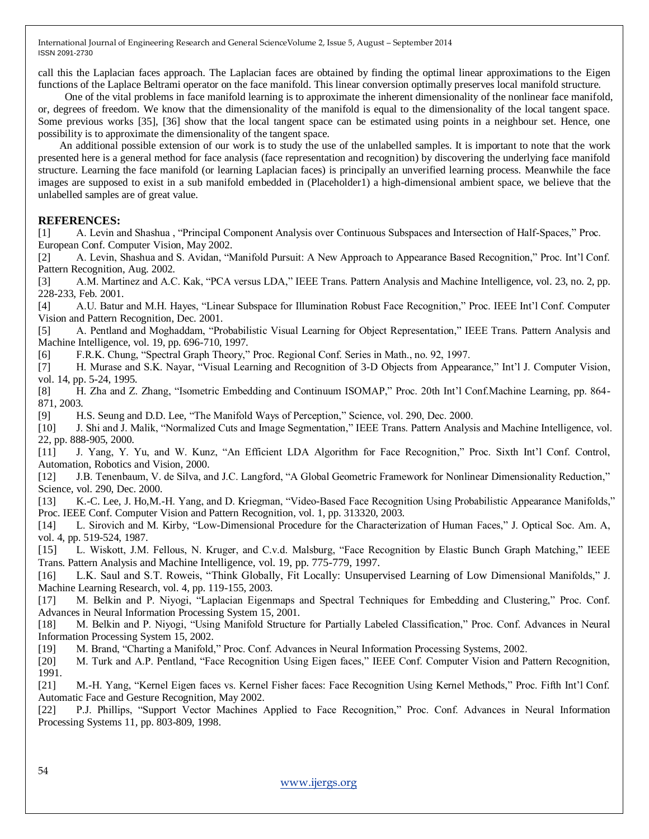call this the Laplacian faces approach. The Laplacian faces are obtained by finding the optimal linear approximations to the Eigen functions of the Laplace Beltrami operator on the face manifold. This linear conversion optimally preserves local manifold structure.

 One of the vital problems in face manifold learning is to approximate the inherent dimensionality of the nonlinear face manifold, or, degrees of freedom. We know that the dimensionality of the manifold is equal to the dimensionality of the local tangent space. Some previous works [35], [36] show that the local tangent space can be estimated using points in a neighbour set. Hence, one possibility is to approximate the dimensionality of the tangent space.

 An additional possible extension of our work is to study the use of the unlabelled samples. It is important to note that the work presented here is a general method for face analysis (face representation and recognition) by discovering the underlying face manifold structure. Learning the face manifold (or learning Laplacian faces) is principally an unverified learning process. Meanwhile the face images are supposed to exist in a sub manifold embedded in (Placeholder1) a high-dimensional ambient space, we believe that the unlabelled samples are of great value.

#### **REFERENCES:**

[1] A. Levin and Shashua, "Principal Component Analysis over Continuous Subspaces and Intersection of Half-Spaces," Proc. European Conf. Computer Vision, May 2002.

[2] A. Levin, Shashua and S. Avidan, "Manifold Pursuit: A New Approach to Appearance Based Recognition," Proc. Int'l Conf. Pattern Recognition, Aug. 2002.

[3] A.M. Martinez and A.C. Kak, "PCA versus LDA," IEEE Trans. Pattern Analysis and Machine Intelligence, vol. 23, no. 2, pp. 228-233, Feb. 2001.

[4] A.U. Batur and M.H. Hayes, "Linear Subspace for Illumination Robust Face Recognition," Proc. IEEE Int'l Conf. Computer Vision and Pattern Recognition, Dec. 2001.

[5] A. Pentland and Moghaddam, "Probabilistic Visual Learning for Object Representation," IEEE Trans. Pattern Analysis and Machine Intelligence, vol. 19, pp. 696-710, 1997.

[6] F.R.K. Chung, "Spectral Graph Theory," Proc. Regional Conf. Series in Math., no. 92, 1997.

[7] H. Murase and S.K. Nayar, "Visual Learning and Recognition of 3-D Objects from Appearance," Int'l J. Computer Vision, vol. 14, pp. 5-24, 1995.

[8] H. Zha and Z. Zhang, "Isometric Embedding and Continuum ISOMAP," Proc. 20th Int'l Conf.Machine Learning, pp. 864-871, 2003.

[9] H.S. Seung and D.D. Lee, "The Manifold Ways of Perception," Science, vol. 290, Dec. 2000.

[10] J. Shi and J. Malik, "Normalized Cuts and Image Segmentation," IEEE Trans. Pattern Analysis and Machine Intelligence, vol. 22, pp. 888-905, 2000.

[11] J. Yang, Y. Yu, and W. Kunz, "An Efficient LDA Algorithm for Face Recognition," Proc. Sixth Int'l Conf. Control, Automation, Robotics and Vision, 2000.

[12] J.B. Tenenbaum, V. de Silva, and J.C. Langford, "A Global Geometric Framework for Nonlinear Dimensionality Reduction," Science, vol. 290, Dec. 2000.

[13] K.-C. Lee, J. Ho,M.-H. Yang, and D. Kriegman, "Video-Based Face Recognition Using Probabilistic Appearance Manifolds," Proc. IEEE Conf. Computer Vision and Pattern Recognition, vol. 1, pp. 313320, 2003.

[14] L. Sirovich and M. Kirby, "Low-Dimensional Procedure for the Characterization of Human Faces," J. Optical Soc. Am. A, vol. 4, pp. 519-524, 1987.

[15] L. Wiskott, J.M. Fellous, N. Kruger, and C.v.d. Malsburg, "Face Recognition by Elastic Bunch Graph Matching," IEEE Trans. Pattern Analysis and Machine Intelligence, vol. 19, pp. 775-779, 1997.

[16] L.K. Saul and S.T. Roweis, "Think Globally, Fit Locally: Unsupervised Learning of Low Dimensional Manifolds," J. Machine Learning Research, vol. 4, pp. 119-155, 2003.

[17] M. Belkin and P. Niyogi, "Laplacian Eigenmaps and Spectral Techniques for Embedding and Clustering," Proc. Conf. Advances in Neural Information Processing System 15, 2001.

[18] M. Belkin and P. Niyogi, "Using Manifold Structure for Partially Labeled Classification," Proc. Conf. Advances in Neural Information Processing System 15, 2002.

[19] M. Brand, "Charting a Manifold," Proc. Conf. Advances in Neural Information Processing Systems, 2002.

[20] M. Turk and A.P. Pentland, "Face Recognition Using Eigen faces," IEEE Conf. Computer Vision and Pattern Recognition, 1991.

[21] M.-H. Yang, "Kernel Eigen faces vs. Kernel Fisher faces: Face Recognition Using Kernel Methods," Proc. Fifth Int'l Conf. Automatic Face and Gesture Recognition, May 2002.

[22] P.J. Phillips, "Support Vector Machines Applied to Face Recognition," Proc. Conf. Advances in Neural Information Processing Systems 11, pp. 803-809, 1998.